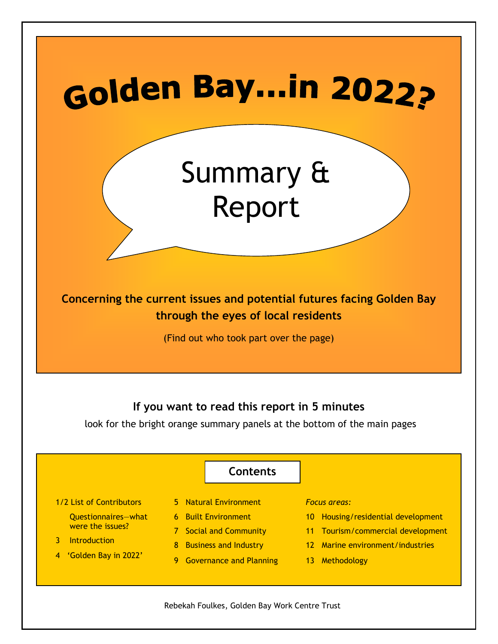# **Golden Bay...in 2022?**

## Summary & Report

Concerning the current issues and potential futures facing Golden Bay through the eyes of local residents

(Find out who took part over the page)

### If you want to read this report in 5 minutes

look for the bright orange summary panels at the bottom of the main pages



Rebekah Foulkes, Golden Bay Work Centre Trust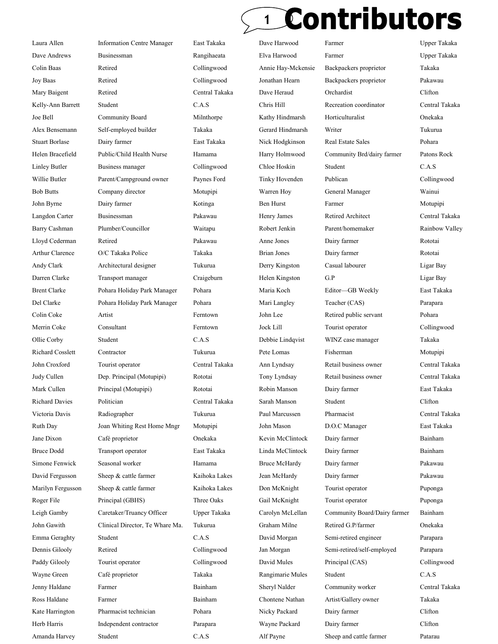### Contributors 1

Laura Allen Information Centre Manager East Takaka Dave Harwood Farmer Upper Takaka Dave Andrews Businessman Rangihaeata Elva Harwood Farmer Upper Takaka Colin Baas Retired Collingwood Annie Hay-Mckensie Backpackers proprietor Takaka Joy Baas Retired Collingwood Jonathan Hearn Backpackers proprietor Pakawau Mary Baigent Retired Central Takaka Dave Heraud Orchardist Clifton Kelly-Ann Barrett Student C.A.S Chris Hill Recreation coordinator Central Takaka Joe Bell Community Board Milnthorpe Kathy Hindmarsh Horticulturalist Onekaka Alex Bensemann Self-employed builder Takaka Gerard Hindmarsh Writer Tukurua Stuart Borlase Dairy farmer East Takaka Nick Hodgkinson Real Estate Sales Pohara Helen Bracefield Public/Child Health Nurse Hamama Harry Holmwood Community Brd/dairy farmer Patons Rock Linley Butler Business manager Collingwood Chloe Hoskin Student C.A.S Willie Butler Parent/Campground owner Paynes Ford Tinky Hovenden Publican Collingwood Bob Butts Company director Motupipi Warren Hoy General Manager Wainui John Byrne Dairy farmer Kotinga Ben Hurst Farmer Motupipi Langdon Carter Businessman Pakawau Henry James Retired Architect Central Takaka Barry Cashman Plumber/Councillor Waitapu Robert Jenkin Parent/homemaker Rainbow Valley Lloyd Cederman Retired Pakawau Anne Jones Dairy farmer Rototai Arthur Clarence O/C Takaka Police Takaka Brian Jones Dairy farmer Rototai Andy Clark Architectural designer Tukurua Derry Kingston Casual labourer Ligar Bay Darren Clarke Transport manager Craigeburn Helen Kingston G.P Ligar Bay Brent Clarke Pohara Holiday Park Manager Pohara Maria Koch Editor—GB Weekly East Takaka Del Clarke Pohara Holiday Park Manager Pohara Mari Langley Teacher (CAS) Parapara Colin Coke Artist Ferntown John Lee Retired public servant Pohara Merrin Coke Consultant Ferntown Jock Lill Tourist operator Collingwood Ollie Corby Student C.A.S Debbie Lindqvist WINZ case manager Takaka Richard Cosslett Contractor Tukurua Pete Lomas Fisherman Motupipi John Croxford Tourist operator Central Takaka Ann Lyndsay Retail business owner Central Takaka Judy Cullen Dep. Principal (Motupipi) Rototai Tony Lyndsay Retail business owner Central Takaka Mark Cullen Principal (Motupipi) Rototai Robin Manson Dairy farmer East Takaka Richard Davies Politician Central Takaka Sarah Manson Student Clifton Victoria Davis Radiographer Tukurua Paul Marcussen Pharmacist Central Takaka Ruth Day Joan Whiting Rest Home Mngr Motupipi John Mason D.O.C Manager East Takaka Jane Dixon Café proprietor Onekaka Kevin McClintock Dairy farmer Bainham Bruce Dodd Transport operator East Takaka Linda McClintock Dairy farmer Bainham Simone Fenwick Seasonal worker Hamama Bruce McHardy Dairy farmer Pakawau David Fergusson Sheep & cattle farmer Kaihoka Lakes Jean McHardy Dairy farmer Pakawau Marilyn Fergusson Sheep & cattle farmer Kaihoka Lakes Don McKnight Tourist operator Puponga Roger File Principal (GBHS) Three Oaks Gail McKnight Tourist operator Puponga Leigh Gamby Caretaker/Truancy Officer Upper Takaka Carolyn McLellan Community Board/Dairy farmer Bainham John Gawith Clinical Director, Te Whare Ma. Tukurua Graham Milne Retired G.P/farmer Onekaka Emma Geraghty Student C.A.S David Morgan Semi-retired engineer Parapara Dennis Gilooly Retired Collingwood Jan Morgan Semi-retired/self-employed Parapara Paddy Gilooly Tourist operator Collingwood David Mules Principal (CAS) Collingwood Wayne Green Café proprietor Takaka Rangimarie Mules Student C.A.S Jenny Haldane Farmer Bainham Sheryl Nalder Community worker Central Takaka Ross Haldane Farmer Farmer Bainham Chontene Nathan Artist/Gallery owner Takaka Kate Harrington Pharmacist technician Pohara Nicky Packard Dairy farmer Clifton Herb Harris Independent contractor Parapara Wayne Packard Dairy farmer Clifton

Amanda Harvey Student C.A.S Alf Payne Sheep and cattle farmer Patarau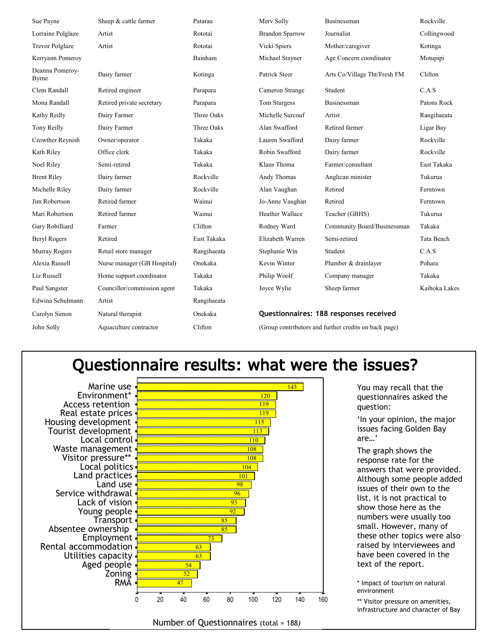| Sue Payne                | Sheep & cattle farmer       | Patarau     | Merv Solly                                            | Businessman                  | Rockville     |
|--------------------------|-----------------------------|-------------|-------------------------------------------------------|------------------------------|---------------|
| Lorraine Polglaze        | Artist                      | Rototai     | <b>Brandon Sparrow</b>                                | Journalist                   | Collingwood   |
| <b>Trevor Polglaze</b>   | Artist                      | Rototai     | Vicki Spiers                                          | Mother/caregiver             | Kotinga       |
| Kerryann Pomeroy         |                             | Bainham     | Michael Stayner                                       | Age Concern coordinator      | Motupipi      |
| Deanna Pomeroy-<br>Byrne | Dairy farmer                | Kotinga     | Patrick Steer                                         | Arts Co/Village Tht/Fresh FM | Clifton       |
| Clem Randall             | Retired engineer            | Parapara    | Cameron Strange                                       | Student                      | C.A.S         |
| Mona Randall             | Retired private secretary   | Parapara    | Tom Sturgess                                          | Businessman                  | Patons Rock   |
| Kathy Reilly             | Dairy Farmer                | Three Oaks  | Michelle Surcouf                                      | Artist                       | Rangihaeata   |
| Tony Reilly              | Dairy Farmer                | Three Oaks  | Alan Swafford                                         | Retired farmer               | Ligar Bay     |
| Crowther Reynish         | Owner/operator              | Takaka      | Lauren Swafford                                       | Dairy farmer                 | Rockville     |
| Kath Riley               | Office clerk                | Takaka      | Robin Swafford                                        | Dairy farmer                 | Rockville     |
| Noel Riley               | Semi-retired                | Takaka      | Klaus Thoma                                           | Farmer/consultant            | East Takaka   |
| <b>Brent Riley</b>       | Dairy farmer                | Rockville   | Andy Thomas                                           | Anglican minister            | Tukurua       |
| Michelle Riley           | Dairy farmer                | Rockville   | Alan Vaughan                                          | Retired                      | Ferntown      |
| Jim Robertson            | Retired farmer              | Wainui      | Jo-Anne Vaughan                                       | Retired                      | Ferntown      |
| Mari Robertson           | Retired farmer              | Wainui      | Heather Wallace                                       | Teacher (GBHS)               | Tukurua       |
| Gary Robilliard          | Farmer                      | Clifton     | Rodney Ward                                           | Community Board/Businessman  | Takaka        |
| <b>Beryl Rogers</b>      | Retired                     | East Takaka | Elizabeth Warren                                      | Semi-retired                 | Tata Beach    |
| Murray Rogers            | Retail store manager        | Rangihaeata | Stephanie Win                                         | Student                      | C.A.S         |
| Alexia Russell           | Nurse manager (GB Hospital) | Onekaka     | Kevin Winter                                          | Plumber & drainlayer         | Pohara        |
| Liz Russell              | Home support coordinator    | Takaka      | Philip Woolf                                          | Company manager              | Takaka        |
| Paul Sangster            | Councillor/commission agent | Takaka      | Joyce Wylie                                           | Sheep farmer                 | Kaihoka Lakes |
| Edwina Schulmann         | Artist                      | Rangihaeata |                                                       |                              |               |
| Carolyn Simon            | Natural therapist           | Onekaka     | Questionnaires: 188 responses received                |                              |               |
| John Solly               | Aquaculture contractor      | Clifton     | (Group contributors and further credits on back page) |                              |               |

### Questionnaire results: what were the issues?

Marine use Environment\* Access retention Real estate prices Housing development Tourist development Local control Waste management Visitor pressure\*\* Local politics Land practices Land use Service withdrawal Lack of vision Young people **Transport** Absentee ownership Employment Rental accommodation Utilities capacity Aged people Zoning RMA



You may recall that the questionnaires asked the question:

'In your opinion, the major issues facing Golden Bay are…'

The graph shows the response rate for the answers that were provided. Although some people added issues of their own to the list, it is not practical to show those here as the numbers were usually too small. However, many of these other topics were also raised by interviewees and have been covered in the text of the report.

\* Impact of tourism on natural environment

\*\* Visitor pressure on amenities, infrastructure and character of Bay

Number of Questionnaires (total = 188)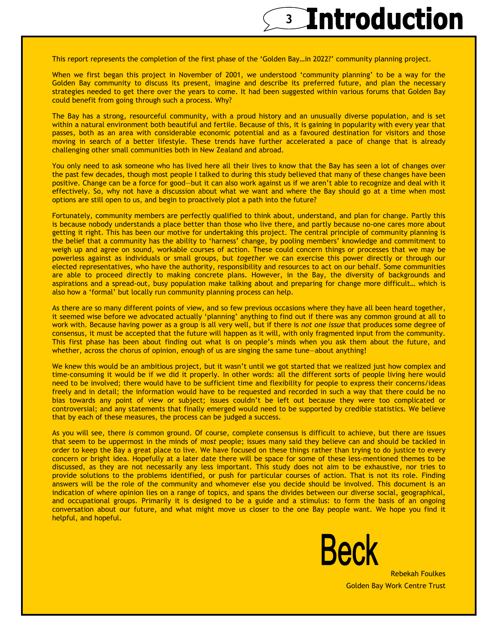### <sup>3</sup> Introduction

This report represents the completion of the first phase of the 'Golden Bay…in 2022?' community planning project.

When we first began this project in November of 2001, we understood 'community planning' to be a way for the Golden Bay community to discuss its present, imagine and describe its preferred future, and plan the necessary strategies needed to get there over the years to come. It had been suggested within various forums that Golden Bay could benefit from going through such a process. Why?

The Bay has a strong, resourceful community, with a proud history and an unusually diverse population, and is set within a natural environment both beautiful and fertile. Because of this, it is gaining in popularity with every year that passes, both as an area with considerable economic potential and as a favoured destination for visitors and those moving in search of a better lifestyle. These trends have further accelerated a pace of change that is already challenging other small communities both in New Zealand and abroad.

You only need to ask someone who has lived here all their lives to know that the Bay has seen a lot of changes over the past few decades, though most people I talked to during this study believed that many of these changes have been positive. Change can be a force for good—but it can also work against us if we aren't able to recognize and deal with it effectively. So, why not have a discussion about what we want and where the Bay should go at a time when most options are still open to us, and begin to proactively plot a path into the future?

Fortunately, community members are perfectly qualified to think about, understand, and plan for change. Partly this is because nobody understands a place better than those who live there, and partly because no-one cares more about getting it right. This has been our motive for undertaking this project. The central principle of community planning is the belief that a community has the ability to 'harness' change, by pooling members' knowledge and commitment to weigh up and agree on sound, workable courses of action. These could concern things or processes that we may be powerless against as individuals or small groups, but together we can exercise this power directly or through our elected representatives, who have the authority, responsibility and resources to act on our behalf. Some communities are able to proceed directly to making concrete plans. However, in the Bay, the diversity of backgrounds and aspirations and a spread-out, busy population make talking about and preparing for change more difficult… which is also how a 'formal' but locally run community planning process can help.

As there are so many different points of view, and so few previous occasions where they have all been heard together, it seemed wise before we advocated actually 'planning' anything to find out if there was any common ground at all to work with. Because having power as a group is all very well, but if there is not one issue that produces some degree of consensus, it must be accepted that the future will happen as it will, with only fragmented input from the community. This first phase has been about finding out what is on people's minds when you ask them about the future, and whether, across the chorus of opinion, enough of us are singing the same tune—about anything!

We knew this would be an ambitious project, but it wasn't until we got started that we realized just how complex and time-consuming it would be if we did it properly. In other words: all the different sorts of people living here would need to be involved; there would have to be sufficient time and flexibility for people to express their concerns/ideas freely and in detail; the information would have to be requested and recorded in such a way that there could be no bias towards any point of view or subject; issues couldn't be left out because they were too complicated or controversial; and any statements that finally emerged would need to be supported by credible statistics. We believe that by each of these measures, the process can be judged a success.

As you will see, there is common ground. Of course, complete consensus is difficult to achieve, but there are issues that seem to be uppermost in the minds of most people; issues many said they believe can and should be tackled in order to keep the Bay a great place to live. We have focused on these things rather than trying to do justice to every concern or bright idea. Hopefully at a later date there will be space for some of these less-mentioned themes to be discussed, as they are not necessarily any less important. This study does not aim to be exhaustive, nor tries to provide solutions to the problems identified, or push for particular courses of action. That is not its role. Finding answers will be the role of the community and whomever else you decide should be involved. This document is an indication of where opinion lies on a range of topics, and spans the divides between our diverse social, geographical, and occupational groups. Primarily it is designed to be a guide and a stimulus: to form the basis of an ongoing conversation about our future, and what might move us closer to the one Bay people want. We hope you find it helpful, and hopeful.



Rebekah Foulkes Golden Bay Work Centre Trust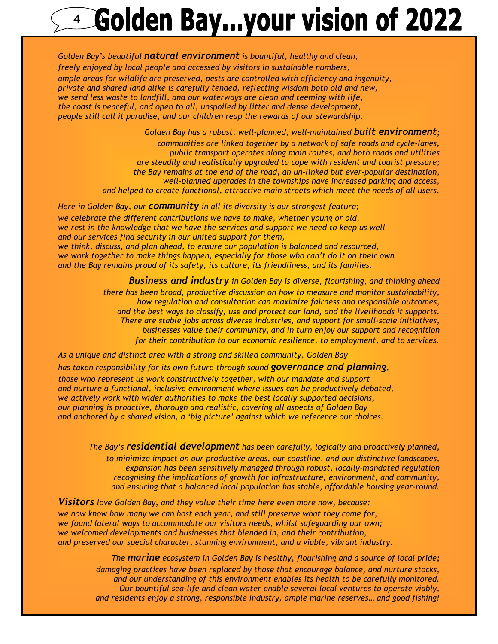## **4 Golden Bay...your vision of 2022**

Golden Bay's beautiful natural environment is bountiful, healthy and clean, freely enjoyed by local people and accessed by visitors in sustainable numbers, ample areas for wildlife are preserved, pests are controlled with efficiency and ingenuity, private and shared land alike is carefully tended, reflecting wisdom both old and new, we send less waste to landfill, and our waterways are clean and teeming with life, the coast is peaceful, and open to all, unspoiled by litter and dense development, people still call it paradise, and our children reap the rewards of our stewardship.

> Golden Bay has a robust, well-planned, well-maintained **built environment**; communities are linked together by a network of safe roads and cycle-lanes, public transport operates along main routes, and both roads and utilities are steadily and realistically upgraded to cope with resident and tourist pressure; the Bay remains at the end of the road, an un-linked but ever-popular destination, well-planned upgrades in the townships have increased parking and access, and helped to create functional, attractive main streets which meet the needs of all users.

Here in Golden Bay, our **community** in all its diversity is our strongest feature; we celebrate the different contributions we have to make, whether young or old, we rest in the knowledge that we have the services and support we need to keep us well and our services find security in our united support for them, we think, discuss, and plan ahead, to ensure our population is balanced and resourced, we work together to make things happen, especially for those who can't do it on their own and the Bay remains proud of its safety, its culture, its friendliness, and its families.

> **Business and industry** in Golden Bay is diverse, flourishing, and thinking ahead there has been broad, productive discussion on how to measure and monitor sustainability, how regulation and consultation can maximize fairness and responsible outcomes, and the best ways to classify, use and protect our land, and the livelihoods it supports. There are stable jobs across diverse industries, and support for small-scale initiatives, businesses value their community, and in turn enjoy our support and recognition for their contribution to our economic resilience, to employment, and to services.

As a unique and distinct area with a strong and skilled community, Golden Bay

has taken responsibility for its own future through sound **governance and planning**,

those who represent us work constructively together, with our mandate and support and nurture a functional, inclusive environment where issues can be productively debated, we actively work with wider authorities to make the best locally supported decisions, our planning is proactive, thorough and realistic, covering all aspects of Golden Bay and anchored by a shared vision, a 'big picture' against which we reference our choices.

The Bay's residential development has been carefully, logically and proactively planned, to minimize impact on our productive areas, our coastline, and our distinctive landscapes, expansion has been sensitively managed through robust, locally-mandated regulation recognising the implications of growth for infrastructure, environment, and community, and ensuring that a balanced local population has stable, affordable housing year-round.

**Visitors** love Golden Bay, and they value their time here even more now, because:

we now know how many we can host each year, and still preserve what they come for, we found lateral ways to accommodate our visitors needs, whilst safeguarding our own; we welcomed developments and businesses that blended in, and their contribution, and preserved our special character, stunning environment, and a viable, vibrant industry.

The **marine** ecosystem in Golden Bay is healthy, flourishing and a source of local pride;

damaging practices have been replaced by those that encourage balance, and nurture stocks, and our understanding of this environment enables its health to be carefully monitored. Our bountiful sea-life and clean water enable several local ventures to operate viably, and residents enjoy a strong, responsible industry, ample marine reserves… and good fishing!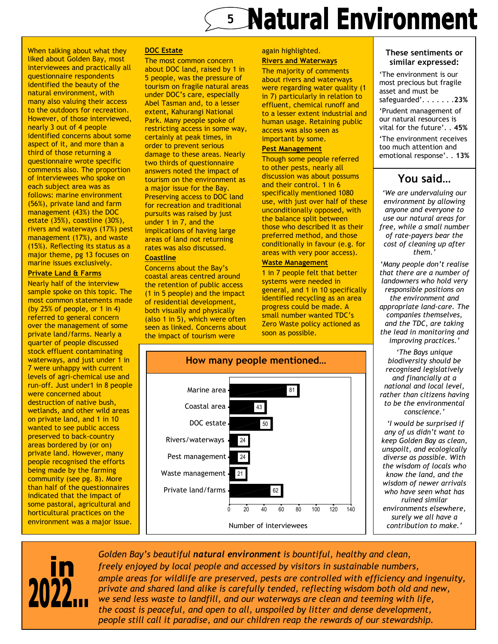## **5 Natural Environment**

When talking about what they liked about Golden Bay, most interviewees and practically all questionnaire respondents identified the beauty of the natural environment, with many also valuing their access to the outdoors for recreation. However, of those interviewed, nearly 3 out of 4 people identified concerns about some aspect of it, and more than a third of those returning a questionnaire wrote specific comments also. The proportion of interviewees who spoke on each subject area was as follows: marine environment (56%), private land and farm management (43%) the DOC estate (35%), coastline (30%), rivers and waterways (17%) pest management (17%), and waste (15%). Reflecting its status as a major theme, pg 13 focuses on marine issues exclusively.

#### Private Land & Farms

Nearly half of the interview sample spoke on this topic. The most common statements made (by 25% of people, or 1 in 4) referred to general concern over the management of some private land/farms. Nearly a quarter of people discussed stock effluent contaminating waterways, and just under 1 in 7 were unhappy with current levels of agri-chemical use and run-off. Just under1 in 8 people were concerned about destruction of native bush, wetlands, and other wild areas on private land, and 1 in 10 wanted to see public access preserved to back-country areas bordered by (or on) private land. However, many people recognised the efforts being made by the farming community (see pg. 8). More than half of the questionnaires indicated that the impact of some pastoral, agricultural and horticultural practices on the environment was a major issue.

#### DOC Estate

The most common concern about DOC land, raised by 1 in 5 people, was the pressure of tourism on fragile natural areas under DOC's care, especially Abel Tasman and, to a lesser extent, Kahurangi National Park. Many people spoke of restricting access in some way, certainly at peak times, in order to prevent serious damage to these areas. Nearly two thirds of questionnaire answers noted the impact of tourism on the environment as a major issue for the Bay. Preserving access to DOC land for recreation and traditional pursuits was raised by just under 1 in 7, and the implications of having large areas of land not returning rates was also discussed.

#### **Coastline**

Concerns about the Bay's coastal areas centred around the retention of public access (1 in 5 people) and the impact of residential development, both visually and physically (also 1 in 5), which were often seen as linked. Concerns about the impact of tourism were

#### again highlighted. Rivers and Waterways

The majority of comments about rivers and waterways were regarding water quality (1 in 7) particularly in relation to effluent, chemical runoff and to a lesser extent industrial and human usage. Retaining public access was also seen as important by some.

#### Pest Management

Though some people referred to other pests, nearly all discussion was about possums and their control. 1 in 6 specifically mentioned 1080 use, with just over half of these unconditionally opposed, with the balance split between those who described it as their preferred method, and those conditionally in favour (e.g. for areas with very poor access).

#### Waste Management

1 in 7 people felt that better systems were needed in general, and 1 in 10 specifically identified recycling as an area progress could be made. A small number wanted TDC's Zero Waste policy actioned as soon as possible.



#### These sentiments or similar expressed:

'The environment is our most precious but fragile asset and must be safeguarded'. . . . . . . 23% 'Prudent management of our natural resources is vital for the future'. . 45% 'The environment receives too much attention and emotional response'. . 13%

### You said…

'We are undervaluing our environment by allowing anyone and everyone to use our natural areas for free, while a small number of rate-payers bear the cost of cleaning up after them.'

'Many people don't realise that there are a number of landowners who hold very responsible positions on the environment and appropriate land-care. The companies themselves, and the TDC, are taking the lead in monitoring and improving practices.'

'The Bays unique biodiversity should be recognised legislatively and financially at a national and local level, rather than citizens having to be the environmental conscience.'

 'I would be surprised if any of us didn't want to keep Golden Bay as clean, unspoilt, and ecologically diverse as possible. With the wisdom of locals who know the land, and the wisdom of newer arrivals who have seen what has ruined similar environments elsewhere, surely we all have a contribution to make.'



Golden Bay's beautiful natural environment is bountiful, healthy and clean, freely enjoyed by local people and accessed by visitors in sustainable numbers, ample areas for wildlife are preserved, pests are controlled with efficiency and ingenuity, private and shared land alike is carefully tended, reflecting wisdom both old and new, we send less waste to landfill, and our waterways are clean and teeming with life, the coast is peaceful, and open to all, unspoiled by litter and dense development, people still call it paradise, and our children reap the rewards of our stewardship.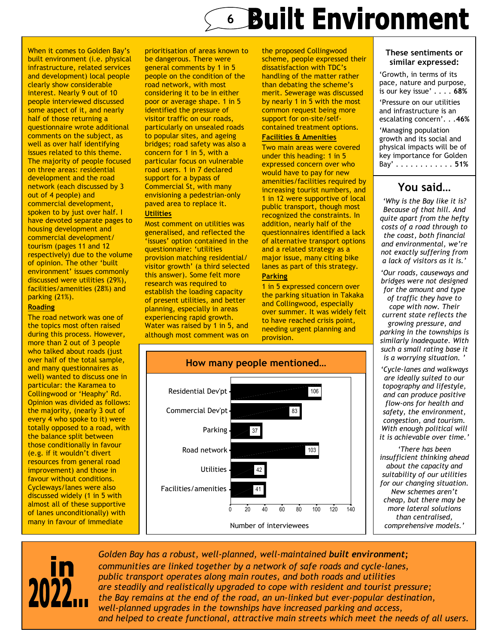## **6 Built Environment**

When it comes to Golden Bay's built environment (i.e. physical infrastructure, related services and development) local people clearly show considerable interest. Nearly 9 out of 10 people interviewed discussed some aspect of it, and nearly half of those returning a questionnaire wrote additional comments on the subject, as well as over half identifying issues related to this theme. The majority of people focused on three areas: residential development and the road network (each discussed by 3 out of 4 people) and commercial development, spoken to by just over half. I have devoted separate pages to housing development and commercial development/ tourism (pages 11 and 12 respectively) due to the volume of opinion. The other 'built environment' issues commonly discussed were utilities (29%), facilities/amenities (28%) and parking (21%).

#### Roading

The road network was one of the topics most often raised during this process. However, more than 2 out of 3 people who talked about roads (just over half of the total sample, and many questionnaires as well) wanted to discuss one in particular: the Karamea to Collingwood or 'Heaphy' Rd. Opinion was divided as follows: the majority, (nearly 3 out of every 4 who spoke to it) were totally opposed to a road, with the balance split between those conditionally in favour (e.g. if it wouldn't divert resources from general road improvement) and those in favour without conditions. Cycleways/lanes were also discussed widely (1 in 5 with almost all of these supportive of lanes unconditionally) with many in favour of immediate

prioritisation of areas known to be dangerous. There were general comments by 1 in 5 people on the condition of the road network, with most considering it to be in either poor or average shape. 1 in 5 identified the pressure of visitor traffic on our roads, particularly on unsealed roads to popular sites, and ageing bridges; road safety was also a concern for 1 in 5, with a particular focus on vulnerable road users. 1 in 7 declared support for a bypass of Commercial St, with many envisioning a pedestrian-only paved area to replace it.

#### **Utilities**

Most comment on utilities was generalised, and reflected the 'issues' option contained in the questionnaire: 'utilities provision matching residential/ visitor growth' (a third selected this answer). Some felt more research was required to establish the loading capacity of present utilities, and better planning, especially in areas experiencing rapid growth. Water was raised by 1 in 5, and although most comment was on

the proposed Collingwood scheme, people expressed their dissatisfaction with TDC's handling of the matter rather than debating the scheme's merit. Sewerage was discussed by nearly 1 in 5 with the most common request being more support for on-site/selfcontained treatment options.

#### Facilities & Amenities

Two main areas were covered under this heading: 1 in 5 expressed concern over who would have to pay for new amenities/facilities required by increasing tourist numbers, and 1 in 12 were supportive of local public transport, though most recognized the constraints. In addition, nearly half of the questionnaires identified a lack of alternative transport options and a related strategy as a major issue, many citing bike lanes as part of this strategy.

#### **Parking**

1 in 5 expressed concern over the parking situation in Takaka and Collingwood, especially over summer. It was widely felt to have reached crisis point, needing urgent planning and provision.



#### These sentiments or similar expressed:

'Growth, in terms of its pace, nature and purpose, is our key issue' . . . . 68% 'Pressure on our utilities

and infrastructure is an escalating concern'. . .46%

'Managing population growth and its social and physical impacts will be of key importance for Golden Bay' . . . . . . . . . . . . 51%

### You said…

'Why is the Bay like it is? Because of that hill. And quite apart from the hefty costs of a road through to the coast, both financial and environmental, we're not exactly suffering from a lack of visitors as it is.'

'Our roads, causeways and bridges were not designed for the amount and type of traffic they have to cope with now. Their current state reflects the growing pressure, and parking in the townships is similarly inadequate. With such a small rating base it is a worrying situation.

'Cycle-lanes and walkways are ideally suited to our topography and lifestyle, and can produce positive flow-ons for health and safety, the environment, congestion, and tourism. With enough political will it is achievable over time.'

'There has been insufficient thinking ahead about the capacity and suitability of our utilities for our changing situation. New schemes aren't cheap, but there may be more lateral solutions than centralised, comprehensive models.'



Golden Bay has a robust, well-planned, well-maintained built environment; communities are linked together by a network of safe roads and cycle-lanes, public transport operates along main routes, and both roads and utilities are steadily and realistically upgraded to cope with resident and tourist pressure; the Bay remains at the end of the road, an un-linked but ever-popular destination, well-planned upgrades in the townships have increased parking and access, and helped to create functional, attractive main streets which meet the needs of all users.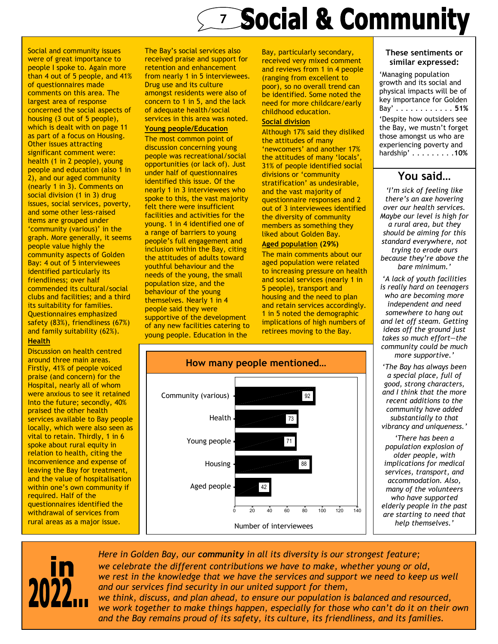## **Exploration Social & Community**

Social and community issues were of great importance to people I spoke to. Again more than 4 out of 5 people, and 41% of questionnaires made comments on this area. The largest area of response concerned the social aspects of housing (3 out of 5 people), which is dealt with on page 11 as part of a focus on Housing. Other issues attracting significant comment were: health (1 in 2 people), young people and education (also 1 in 2), and our aged community (nearly 1 in 3). Comments on social division (1 in 3) drug issues, social services, poverty, and some other less-raised items are grouped under 'community (various)' in the graph. More generally, it seems people value highly the community aspects of Golden Bay: 4 out of 5 interviewees identified particularly its friendliness; over half commended its cultural/social clubs and facilities; and a third its suitability for families. Questionnaires emphasized safety (83%), friendliness (67%) and family suitability (62%).

#### **Health**

Discussion on health centred around three main areas. Firstly, 41% of people voiced praise (and concern) for the Hospital, nearly all of whom were anxious to see it retained Into the future; secondly, 40% praised the other health services available to Bay people locally, which were also seen as vital to retain. Thirdly, 1 in 6 spoke about rural equity in relation to health, citing the inconvenience and expense of leaving the Bay for treatment, and the value of hospitalisation within one's own community if required. Half of the questionnaires identified the withdrawal of services from rural areas as a major issue.

The Bay's social services also received praise and support for retention and enhancement from nearly 1 in 5 interviewees. Drug use and its culture amongst residents were also of concern to 1 in 5, and the lack of adequate health/social services in this area was noted.

#### Young people/Education

The most common point of discussion concerning young people was recreational/social opportunities (or lack of). Just under half of questionnaires identified this issue. Of the nearly 1 in 3 interviewees who spoke to this, the vast majority felt there were insufficient facilities and activities for the young. 1 in 4 identified one of a range of barriers to young people's full engagement and inclusion within the Bay, citing the attitudes of adults toward youthful behaviour and the needs of the young, the small population size, and the behaviour of the young themselves. Nearly 1 in 4 people said they were supportive of the development of any new facilities catering to young people. Education in the

Bay, particularly secondary, received very mixed comment and reviews from 1 in 4 people (ranging from excellent to poor), so no overall trend can be identified. Some noted the need for more childcare/early childhood education.

#### Social division

Although 17% said they disliked the attitudes of many 'newcomers' and another 17% the attitudes of many 'locals', 31% of people identified social divisions or 'community stratification' as undesirable, and the vast majority of questionnaire responses and 2 out of 3 interviewees identified the diversity of community members as something they liked about Golden Bay.

#### Aged population (29%)

The main comments about our aged population were related to increasing pressure on health and social services (nearly 1 in 5 people), transport and housing and the need to plan and retain services accordingly. 1 in 5 noted the demographic implications of high numbers of retirees moving to the Bay.



#### These sentiments or similar expressed:

'Managing population growth and its social and physical impacts will be of key importance for Golden Bay' . . . . . . . . . . . . 51% 'Despite how outsiders see the Bay, we mustn't forget those amongst us who are experiencing poverty and hardship' . . . . . . . . .10%

### You said…

'I'm sick of feeling like there's an axe hovering over our health services. Maybe our level is high for a rural area, but they should be aiming for this standard everywhere, not trying to erode ours because they're above the bare minimum.'

'A lack of youth facilities is really hard on teenagers who are becoming more independent and need somewhere to hang out and let off steam. Getting ideas off the ground just takes so much effort—the community could be much more supportive.'

'The Bay has always been a special place, full of good, strong characters, and I think that the more recent additions to the community have added substantially to that vibrancy and uniqueness.'

'There has been a population explosion of older people, with implications for medical services, transport, and accommodation. Also, many of the volunteers who have supported elderly people in the past are starting to need that help themselves.'



Here in Golden Bay, our community in all its diversity is our strongest feature; we celebrate the different contributions we have to make, whether young or old, we rest in the knowledge that we have the services and support we need to keep us well and our services find security in our united support for them, we think, discuss, and plan ahead, to ensure our population is balanced and resourced,

we work together to make things happen, especially for those who can't do it on their own and the Bay remains proud of its safety, its culture, its friendliness, and its families.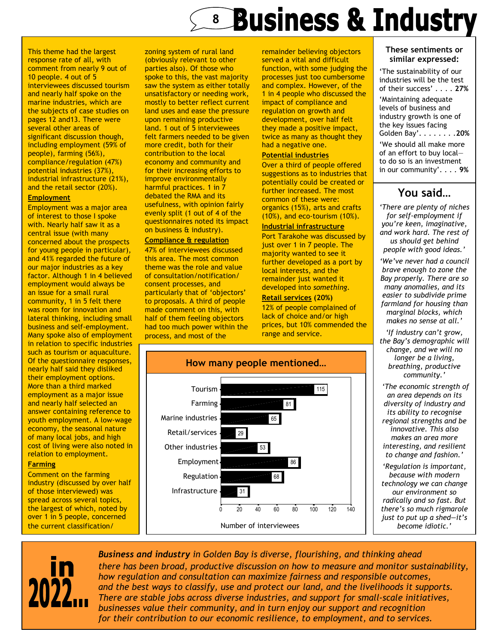## **8 Business & Industry**

This theme had the largest response rate of all, with comment from nearly 9 out of 10 people. 4 out of 5 interviewees discussed tourism and nearly half spoke on the marine industries, which are the subjects of case studies on pages 12 and13. There were several other areas of significant discussion though, including employment (59% of people), farming (56%), compliance/regulation (47%) potential industries (37%), industrial infrastructure (21%), and the retail sector (20%). **Employment** 

Employment was a major area of interest to those I spoke with. Nearly half saw it as a central issue (with many concerned about the prospects for young people in particular), and 41% regarded the future of our major industries as a key factor. Although 1 in 4 believed employment would always be an issue for a small rural community, 1 in 5 felt there was room for innovation and lateral thinking, including small business and self-employment. Many spoke also of employment in relation to specific industries such as tourism or aquaculture. Of the questionnaire responses, nearly half said they disliked their employment options. More than a third marked employment as a major issue and nearly half selected an answer containing reference to youth employment. A low-wage economy, the seasonal nature of many local jobs, and high cost of living were also noted in relation to employment.

#### **Farming**

Comment on the farming industry (discussed by over half of those interviewed) was spread across several topics, the largest of which, noted by over 1 in 5 people, concerned the current classification/

zoning system of rural land (obviously relevant to other parties also). Of those who spoke to this, the vast majority saw the system as either totally unsatisfactory or needing work, mostly to better reflect current land uses and ease the pressure upon remaining productive land. 1 out of 5 interviewees felt farmers needed to be given more credit, both for their contribution to the local economy and community and for their increasing efforts to improve environmentally harmful practices. 1 in 7 debated the RMA and its usefulness, with opinion fairly evenly split (1 out of 4 of the questionnaires noted its impact on business & industry).

#### Compliance & regulation

47% of interviewees discussed this area. The most common theme was the role and value of consultation/notification/ consent processes, and particularly that of 'objectors' to proposals. A third of people made comment on this, with half of them feeling objectors had too much power within the process, and most of the

remainder believing objectors served a vital and difficult function, with some judging the processes just too cumbersome and complex. However, of the 1 in 4 people who discussed the impact of compliance and regulation on growth and development, over half felt they made a positive impact, twice as many as thought they had a negative one.

#### Potential industries

Over a third of people offered suggestions as to industries that potentially could be created or further increased. The most common of these were: organics (15%), arts and crafts (10%), and eco-tourism (10%).

#### Industrial infrastructure

Port Tarakohe was discussed by just over 1 in 7 people. The majority wanted to see it further developed as a port by local interests, and the remainder just wanted it developed into something. Retail services (20%)

12% of people complained of lack of choice and/or high prices, but 10% commended the range and service.



#### These sentiments or similar expressed:

'The sustainability of our industries will be the test of their success' . . . . 27%

'Maintaining adequate levels of business and industry growth is one of the key issues facing Golden Bay'. . . . . . . .20% 'We should all make more of an effort to buy local to do so is an investment in our community'. . . . 9%

### You said…

'There are plenty of niches for self-employment if you're keen, imaginative, and work hard. The rest of us should get behind people with good ideas.'

'We've never had a council brave enough to zone the Bay properly. There are so many anomalies, and its easier to subdivide prime farmland for housing than marginal blocks, which makes no sense at all.'

'If industry can't grow, the Bay's demographic will change, and we will no longer be a living, breathing, productive community.'

 'The economic strength of an area depends on its diversity of industry and its ability to recognise regional strengths and be innovative. This also makes an area more interesting, and resilient to change and fashion.'

'Regulation is important, because with modern technology we can change our environment so radically and so fast. But there's so much rigmarole just to put up a shed—it's become idiotic.'



Business and industry in Golden Bay is diverse, flourishing, and thinking ahead there has been broad, productive discussion on how to measure and monitor sustainability, how regulation and consultation can maximize fairness and responsible outcomes, and the best ways to classify, use and protect our land, and the livelihoods it supports. There are stable jobs across diverse industries, and support for small-scale initiatives, businesses value their community, and in turn enjoy our support and recognition for their contribution to our economic resilience, to employment, and to services.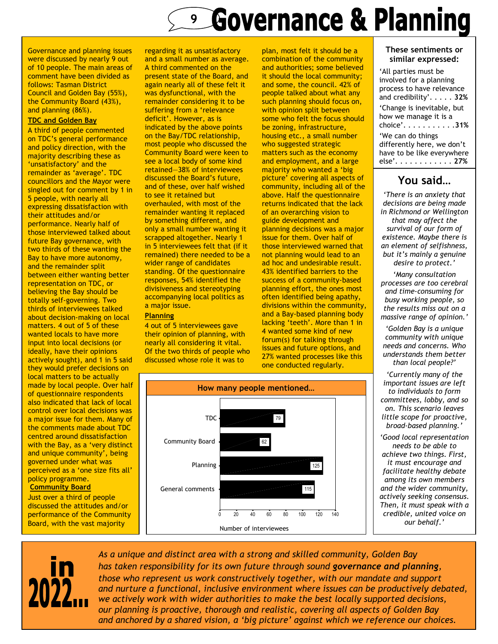### **Governance & Planning** 9

Governance and planning issues were discussed by nearly 9 out of 10 people. The main areas of comment have been divided as follows: Tasman District Council and Golden Bay (55%), the Community Board (43%), and planning (86%).

#### TDC and Golden Bay

A third of people commented on TDC's general performance and policy direction, with the majority describing these as 'unsatisfactory' and the remainder as 'average'. TDC councillors and the Mayor were singled out for comment by 1 in 5 people, with nearly all expressing dissatisfaction with their attitudes and/or performance. Nearly half of those interviewed talked about future Bay governance, with two thirds of these wanting the Bay to have more autonomy, and the remainder split between either wanting better representation on TDC, or believing the Bay should be totally self-governing. Two thirds of interviewees talked about decision-making on local matters. 4 out of 5 of these wanted locals to have more input into local decisions (or ideally, have their opinions actively sought), and 1 in 5 said they would prefer decisions on local matters to be actually made by local people. Over half of questionnaire respondents also indicated that lack of local control over local decisions was a major issue for them. Many of the comments made about TDC centred around dissatisfaction with the Bay, as a 'very distinct and unique community', being governed under what was perceived as a 'one size fits all' policy programme. **Community Board** 

Just over a third of people discussed the attitudes and/or performance of the Community Board, with the vast majority

regarding it as unsatisfactory and a small number as average. A third commented on the present state of the Board, and again nearly all of these felt it was dysfunctional, with the remainder considering it to be suffering from a 'relevance deficit'. However, as is indicated by the above points on the Bay/TDC relationship, most people who discussed the Community Board were keen to see a local body of some kind retained—38% of interviewees discussed the Board's future, and of these, over half wished to see it retained but overhauled, with most of the remainder wanting it replaced by something different, and only a small number wanting it scrapped altogether. Nearly 1 in 5 interviewees felt that (if it remained) there needed to be a wider range of candidates standing. Of the questionnaire responses, 54% identified the divisiveness and stereotyping accompanying local politics as a major issue.

#### **Planning**

4 out of 5 interviewees gave their opinion of planning, with nearly all considering it vital. Of the two thirds of people who discussed whose role it was to

plan, most felt it should be a combination of the community and authorities; some believed it should the local community; and some, the council. 42% of people talked about what any such planning should focus on, with opinion split between some who felt the focus should be zoning, infrastructure, housing etc., a small number who suggested strategic matters such as the economy and employment, and a large majority who wanted a 'big picture' covering all aspects of community, including all of the above. Half the questionnaire returns indicated that the lack of an overarching vision to guide development and planning decisions was a major issue for them. Over half of those interviewed warned that not planning would lead to an ad hoc and undesirable result. 43% identified barriers to the success of a community-based planning effort, the ones most often identified being apathy, divisions within the community, and a Bay-based planning body lacking 'teeth'. More than 1 in 4 wanted some kind of new forum(s) for talking through issues and future options, and 27% wanted processes like this one conducted regularly.



#### These sentiments or similar expressed:

| 'All parties must be<br>involved for a planning<br>process to have relevance<br>and credibility'. 32% |
|-------------------------------------------------------------------------------------------------------|
| 'Change is inevitable, but<br>how we manage it is a<br>choice'. 31%                                   |
| 'We can do things<br>differently here, we don't<br>have to be like everywhere<br>else'. <b>27</b> %   |

### You said…

'There is an anxiety that decisions are being made in Richmond or Wellington that may affect the survival of our form of existence. Maybe there is an element of selfishness, but it's mainly a genuine desire to protect.'

'Many consultation processes are too cerebral and time-consuming for busy working people, so the results miss out on a massive range of opinion.'

'Golden Bay is a unique community with unique needs and concerns. Who understands them better than local people?'

'Currently many of the important issues are left to individuals to form committees, lobby, and so on. This scenario leaves little scope for proactive, broad-based planning.'

'Good local representation needs to be able to achieve two things. First, it must encourage and facilitate healthy debate among its own members and the wider community, actively seeking consensus. Then, it must speak with a credible, united voice on our behalf.'



As a unique and distinct area with a strong and skilled community, Golden Bay has taken responsibility for its own future through sound governance and planning, those who represent us work constructively together, with our mandate and support and nurture a functional, inclusive environment where issues can be productively debated, we actively work with wider authorities to make the best locally supported decisions, our planning is proactive, thorough and realistic, covering all aspects of Golden Bay and anchored by a shared vision, a 'big picture' against which we reference our choices.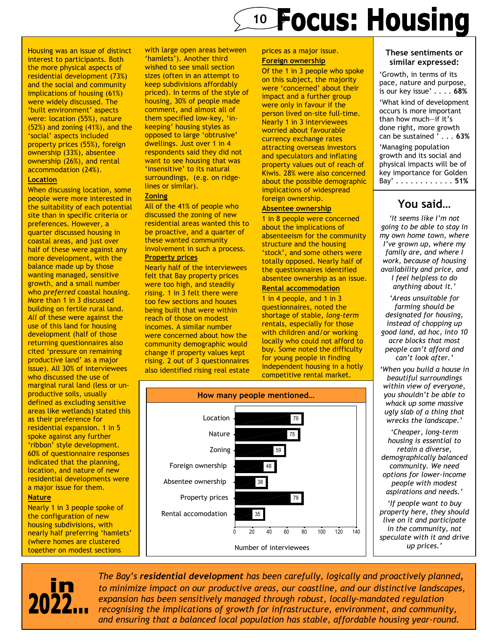## **10 Focus: Housing**

— Housing was an issue of distinct interest to participants. Both the more physical aspects of residential development (73%) and the social and community implications of housing (61%) were widely discussed. The 'built environment' aspects were: location (55%), nature (52%) and zoning (41%), and the 'social' aspects included property prices (55%), foreign ownership (33%), absentee ownership (26%), and rental accommodation (24%).

#### **Location**

When discussing location, some people were more interested in the suitability of each potential site than in specific criteria or preferences. However, a quarter discussed housing in coastal areas, and just over half of these were against any more development, with the balance made up by those wanting managed, sensitive growth, and a small number who preferred coastal housing. More than 1 in 3 discussed building on fertile rural land. All of these were against the use of this land for housing development (half of those returning questionnaires also cited 'pressure on remaining productive land' as a major issue). All 30% of interviewees who discussed the use of marginal rural land (less or unproductive soils, usually defined as excluding sensitive areas like wetlands) stated this as their preference for residential expansion. 1 in 5 spoke against any further 'ribbon' style development. 60% of questionnaire responses indicated that the planning, location, and nature of new residential developments were a major issue for them.

#### Nature

Nearly 1 in 3 people spoke of the configuration of new housing subdivisions, with nearly half preferring 'hamlets' (where homes are clustered together on modest sections

with large open areas between 'hamlets'). Another third wished to see small section sizes (often in an attempt to keep subdivisions affordably priced). In terms of the style of housing, 30% of people made comment, and almost all of them specified low-key, 'inkeeping' housing styles as opposed to large 'obtrusive' dwellings. Just over 1 in 4 respondents said they did not want to see housing that was 'insensitive' to its natural surroundings, (e.g. on ridgelines or similar).

#### **Zoning**

All of the 41% of people who discussed the zoning of new residential areas wanted this to be proactive, and a quarter of these wanted community involvement in such a process. Property prices

Nearly half of the interviewees felt that Bay property prices were too high, and steadily rising. 1 in 3 felt there were too few sections and houses being built that were within reach of those on modest incomes. A similar number were concerned about how the community demographic would change if property values kept rising. 2 out of 3 questionnaires also identified rising real estate



Of the 1 in 3 people who spoke on this subject, the majority were 'concerned' about their impact and a further group were only in favour if the person lived on-site full-time. Nearly 1 in 3 interviewees worried about favourable currency exchange rates attracting overseas investors and speculators and inflating property values out of reach of Kiwis. 28% were also concerned about the possible demographic implications of widespread foreign ownership.

#### Absentee ownership

1 in 8 people were concerned about the implications of absenteeism for the community structure and the housing 'stock', and some others were totally opposed. Nearly half of the questionnaires identified absentee ownership as an issue.

#### Rental accommodation

1 in 4 people, and 1 in 3 questionnaires, noted the shortage of stable, long-term rentals, especially for those with children and/or working locally who could not afford to buy. Some noted the difficulty for young people in finding independent housing in a hotly competitive rental market.



#### These sentiments or similar expressed:

'Growth, in terms of its pace, nature and purpose, is our key issue' . . . . 68% 'What kind of development occurs is more important than how much—if it's done right, more growth can be sustained ' . . . 63% 'Managing population growth and its social and physical impacts will be of key importance for Golden

You said…

Bay' . . . . . . . . . . . . 51%

'It seems like I'm not going to be able to stay in my own home town, where I've grown up, where my family are, and where I work, because of housing availability and price, and I feel helpless to do anything about it.'

'Areas unsuitable for farming should be designated for housing, instead of chopping up good land, ad hoc, into 10 acre blocks that most people can't afford and can't look after.'

'When you build a house in beautiful surroundings within view of everyone, you shouldn't be able to whack up some massive ugly slab of a thing that wrecks the landscape.'

'Cheaper, long-term housing is essential to retain a diverse, demographically balanced community. We need options for lower-income people with modest aspirations and needs.'

'If people want to buy property here, they should live on it and participate in the community, not speculate with it and drive up prices.'



The Bay's residential development has been carefully, logically and proactively planned, to minimize impact on our productive areas, our coastline, and our distinctive landscapes, expansion has been sensitively managed through robust, locally-mandated regulation recognising the implications of growth for infrastructure, environment, and community, and ensuring that a balanced local population has stable, affordable housing year-round.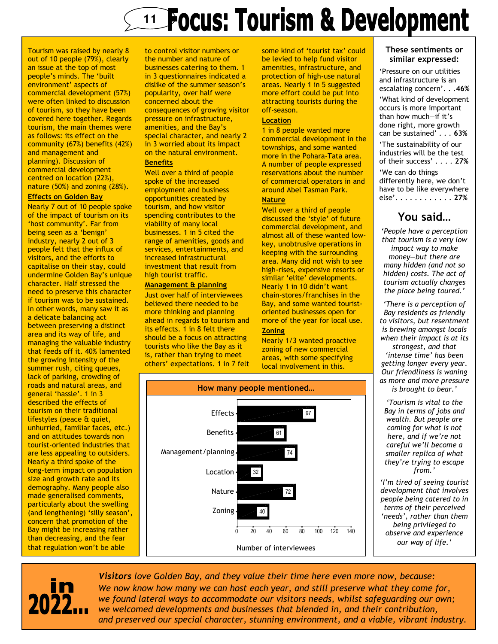## 11 Focus: Tourism & Development

Tourism was raised by nearly 8 out of 10 people (79%), clearly an issue at the top of most people's minds. The 'built environment' aspects of commercial development (57%) were often linked to discussion of tourism, so they have been covered here together. Regards tourism, the main themes were as follows: its effect on the community (67%) benefits (42%) and management and planning). Discussion of commercial development centred on location (22%), nature (50%) and zoning (28%).

#### Effects on Golden Bay

Nearly 7 out of 10 people spoke of the impact of tourism on its 'host community'. Far from being seen as a 'benign' industry, nearly 2 out of 3 people felt that the influx of visitors, and the efforts to capitalise on their stay, could undermine Golden Bay's unique character. Half stressed the need to preserve this character if tourism was to be sustained. In other words, many saw it as a delicate balancing act between preserving a distinct area and its way of life, and managing the valuable industry that feeds off it. 40% lamented the growing intensity of the summer rush, citing queues, lack of parking, crowding of roads and natural areas, and general 'hassle'. 1 in 3 described the effects of tourism on their traditional lifestyles (peace & quiet, unhurried, familiar faces, etc.) and on attitudes towards non tourist-oriented industries that are less appealing to outsiders. Nearly a third spoke of the long-term impact on population size and growth rate and its demography. Many people also made generalised comments, particularly about the swelling (and lengthening) 'silly season', concern that promotion of the Bay might be increasing rather than decreasing, and the fear that regulation won't be able

to control visitor numbers or the number and nature of businesses catering to them. 1 in 3 questionnaires indicated a dislike of the summer season's popularity, over half were concerned about the consequences of growing visitor pressure on infrastructure, amenities, and the Bay's special character, and nearly 2 in 3 worried about its impact on the natural environment.

#### **Benefits**

Well over a third of people spoke of the increased employment and business opportunities created by tourism, and how visitor spending contributes to the viability of many local businesses. 1 in 5 cited the range of amenities, goods and services, entertainments, and increased infrastructural investment that result from high tourist traffic.

#### Management & planning

Just over half of interviewees believed there needed to be more thinking and planning ahead in regards to tourism and its effects. 1 in 8 felt there should be a focus on attracting tourists who like the Bay as it is, rather than trying to meet others' expectations. 1 in 7 felt some kind of 'tourist tax' could be levied to help fund visitor amenities, infrastructure, and protection of high-use natural areas. Nearly 1 in 5 suggested more effort could be put into attracting tourists during the off-season.

#### **Location**

1 in 8 people wanted more commercial development in the townships, and some wanted more in the Pohara-Tata area. A number of people expressed reservations about the number of commercial operators in and around Abel Tasman Park.

#### **Nature**

Well over a third of people discussed the 'style' of future commercial development, and almost all of these wanted lowkey, unobtrusive operations in keeping with the surrounding area. Many did not wish to see high-rises, expensive resorts or similar 'elite' developments. Nearly 1 in 10 didn't want chain-stores/franchises in the Bay, and some wanted touristoriented businesses open for more of the year for local use. **Zoning** 

Nearly 1/3 wanted proactive zoning of new commercial areas, with some specifying local involvement in this.



#### These sentiments or similar expressed:

'Pressure on our utilities and infrastructure is an escalating concern'. . .46% 'What kind of development occurs is more important than how much—if it's done right, more growth can be sustained' . . . 63% 'The sustainability of our industries will be the test of their success' . . . . 27% 'We can do things differently here, we don't have to be like everywhere else'. . . . . . . . . . . . 27%

### You said…

'People have a perception that tourism is a very low impact way to make money—but there are many hidden (and not so hidden) costs. The act of tourism actually changes the place being toured.'

'There is a perception of Bay residents as friendly to visitors, but resentment is brewing amongst locals when their impact is at its

strongest, and that 'intense time' has been getting longer every year. Our friendliness is waning as more and more pressure is brought to bear.'

'Tourism is vital to the Bay in terms of jobs and wealth. But people are coming for what is not here, and if we're not careful we'll become a smaller replica of what they're trying to escape from.'

'I'm tired of seeing tourist development that involves people being catered to in terms of their perceived 'needs', rather than them being privileged to observe and experience our way of life.'



Visitors love Golden Bay, and they value their time here even more now, because: We now know how many we can host each year, and still preserve what they come for, we found lateral ways to accommodate our visitors needs, whilst safeguarding our own; we welcomed developments and businesses that blended in, and their contribution, and preserved our special character, stunning environment, and a viable, vibrant industry.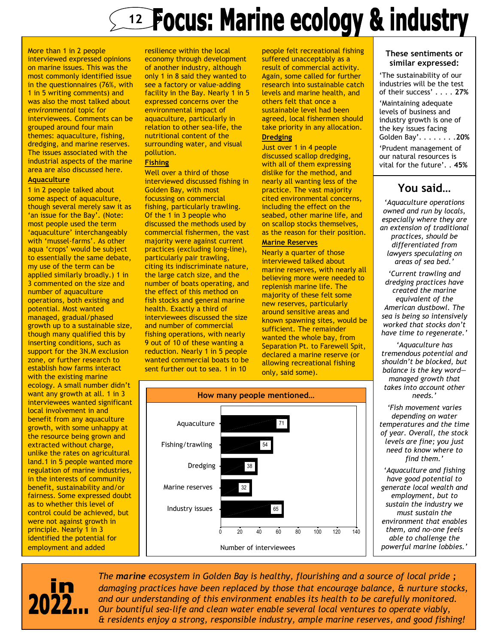## **Example 20 Years: Marine ecology & industry**

More than 1 in 2 people interviewed expressed opinions on marine issues. This was the most commonly identified issue in the questionnaires (76%, with 1 in 5 writing comments) and was also the most talked about environmental topic for interviewees. Comments can be grouped around four main themes: aquaculture, fishing, dredging, and marine reserves. The issues associated with the industrial aspects of the marine area are also discussed here.

#### **Aquaculture**

1 in 2 people talked about some aspect of aquaculture, though several merely saw it as 'an issue for the Bay'. (Note: most people used the term 'aquaculture' interchangeably with 'mussel-farms'. As other aqua 'crops' would be subject to essentially the same debate, my use of the term can be applied similarly broadly.) 1 in 3 commented on the size and number of aquaculture operations, both existing and potential. Most wanted managed, gradual/phased growth up to a sustainable size, though many qualified this by inserting conditions, such as support for the 3N.M exclusion zone, or further research to establish how farms interact with the existing marine ecology. A small number didn't want any growth at all. 1 in 3 interviewees wanted significant local involvement in and benefit from any aquaculture growth, with some unhappy at the resource being grown and extracted without charge, unlike the rates on agricultural land.1 in 5 people wanted more regulation of marine industries, in the interests of community benefit, sustainability and/or fairness. Some expressed doubt as to whether this level of control could be achieved, but were not against growth in principle. Nearly 1 in 3 identified the potential for employment and added

resilience within the local economy through development of another industry, although only 1 in 8 said they wanted to see a factory or value-adding facility in the Bay. Nearly 1 in 5 expressed concerns over the environmental impact of aquaculture, particularly in relation to other sea-life, the nutritional content of the surrounding water, and visual pollution.

#### Fishing

Well over a third of those interviewed discussed fishing in Golden Bay, with most focussing on commercial fishing, particularly trawling. Of the 1 in 3 people who discussed the methods used by commercial fishermen, the vast majority were against current practices (excluding long-line), particularly pair trawling, citing its indiscriminate nature, the large catch size, and the number of boats operating, and the effect of this method on fish stocks and general marine health. Exactly a third of interviewees discussed the size and number of commercial fishing operations, with nearly 9 out of 10 of these wanting a reduction. Nearly 1 in 5 people wanted commercial boats to be sent further out to sea. 1 in 10

people felt recreational fishing suffered unacceptably as a result of commercial activity. Again, some called for further research into sustainable catch levels and marine health, and others felt that once a sustainable level had been agreed, local fishermen should take priority in any allocation. **Dredging** 

#### Just over 1 in 4 people discussed scallop dredging, with all of them expressing dislike for the method, and nearly all wanting less of the practice. The vast majority cited environmental concerns, including the effect on the seabed, other marine life, and on scallop stocks themselves, as the reason for their position.

#### Marine Reserves

Nearly a quarter of those interviewed talked about marine reserves, with nearly all believing more were needed to replenish marine life. The majority of these felt some new reserves, particularly around sensitive areas and known spawning sites, would be sufficient. The remainder wanted the whole bay, from Separation Pt. to Farewell Spit, declared a marine reserve (or allowing recreational fishing only, said some).



Number of interviewees

#### These sentiments or similar expressed:

'The sustainability of our industries will be the test of their success' . . . . 27% 'Maintaining adequate levels of business and industry growth is one of the key issues facing Golden Bay'. . . . . . . .20% 'Prudent management of our natural resources is vital for the future'. . 45%

### You said…

'Aquaculture operations owned and run by locals, especially where they are an extension of traditional practices, should be differentiated from lawyers speculating on areas of sea bed.'

'Current trawling and dredging practices have created the marine equivalent of the American dustbowl. The sea is being so intensively worked that stocks don't have time to regenerate.'

'Aquaculture has tremendous potential and shouldn't be blocked, but balance is the key word managed growth that takes into account other needs.'

'Fish movement varies depending on water temperatures and the time of year. Overall, the stock levels are fine; you just need to know where to find them.'

'Aquaculture and fishing have good potential to generate local wealth and employment, but to sustain the industry we must sustain the environment that enables them, and no-one feels able to challenge the powerful marine lobbies.'



The marine ecosystem in Golden Bay is healthy, flourishing and a source of local pride; damaging practices have been replaced by those that encourage balance, & nurture stocks, and our understanding of this environment enables its health to be carefully monitored. Our bountiful sea-life and clean water enable several local ventures to operate viably, & residents enjoy a strong, responsible industry, ample marine reserves, and good fishing!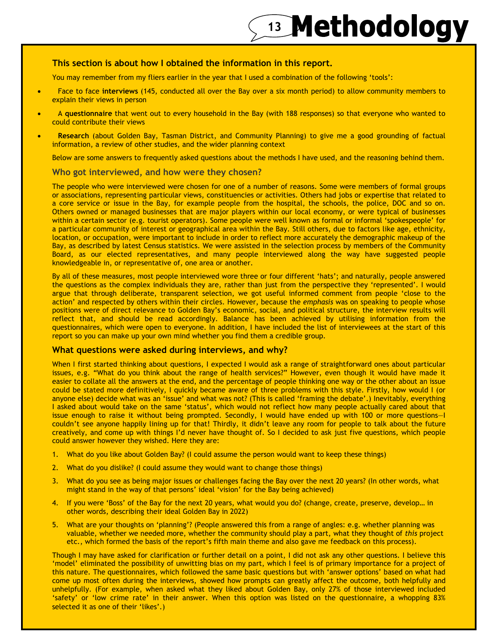## 13 Methodology

#### This section is about how I obtained the information in this report.

You may remember from my fliers earlier in the year that I used a combination of the following 'tools':

- Face to face interviews (145, conducted all over the Bay over a six month period) to allow community members to explain their views in person
- A questionnaire that went out to every household in the Bay (with 188 responses) so that everyone who wanted to could contribute their views
- Research (about Golden Bay, Tasman District, and Community Planning) to give me a good grounding of factual information, a review of other studies, and the wider planning context

Below are some answers to frequently asked questions about the methods I have used, and the reasoning behind them.

#### Who got interviewed, and how were they chosen?

The people who were interviewed were chosen for one of a number of reasons. Some were members of formal groups or associations, representing particular views, constituencies or activities. Others had jobs or expertise that related to a core service or issue in the Bay, for example people from the hospital, the schools, the police, DOC and so on. Others owned or managed businesses that are major players within our local economy, or were typical of businesses within a certain sector (e.g. tourist operators). Some people were well known as formal or informal 'spokespeople' for a particular community of interest or geographical area within the Bay. Still others, due to factors like age, ethnicity, location, or occupation, were important to include in order to reflect more accurately the demographic makeup of the Bay, as described by latest Census statistics. We were assisted in the selection process by members of the Community Board, as our elected representatives, and many people interviewed along the way have suggested people knowledgeable in, or representative of, one area or another.

By all of these measures, most people interviewed wore three or four different 'hats'; and naturally, people answered the questions as the complex individuals they are, rather than just from the perspective they 'represented'. I would argue that through deliberate, transparent selection, we got useful informed comment from people 'close to the action' and respected by others within their circles. However, because the emphasis was on speaking to people whose positions were of direct relevance to Golden Bay's economic, social, and political structure, the interview results will reflect that, and should be read accordingly. Balance has been achieved by utilising information from the questionnaires, which were open to everyone. In addition, I have included the list of interviewees at the start of this report so you can make up your own mind whether you find them a credible group.

#### What questions were asked during interviews, and why?

When I first started thinking about questions, I expected I would ask a range of straightforward ones about particular issues, e.g. "What do you think about the range of health services?" However, even though it would have made it easier to collate all the answers at the end, and the percentage of people thinking one way or the other about an issue could be stated more definitively, I quickly became aware of three problems with this style. Firstly, how would I (or anyone else) decide what was an 'issue' and what was not? (This is called 'framing the debate'.) Inevitably, everything I asked about would take on the same 'status', which would not reflect how many people actually cared about that issue enough to raise it without being prompted. Secondly, I would have ended up with 100 or more questions—I couldn't see anyone happily lining up for that! Thirdly, it didn't leave any room for people to talk about the future creatively, and come up with things I'd never have thought of. So I decided to ask just five questions, which people could answer however they wished. Here they are:

- 1. What do you like about Golden Bay? (I could assume the person would want to keep these things)
- 2. What do you dislike? (I could assume they would want to change those things)
- 3. What do you see as being major issues or challenges facing the Bay over the next 20 years? (In other words, what might stand in the way of that persons' ideal 'vision' for the Bay being achieved)
- 4. If you were 'Boss' of the Bay for the next 20 years, what would you do? (change, create, preserve, develop… in other words, describing their ideal Golden Bay in 2022)
- 5. What are your thoughts on 'planning'? (People answered this from a range of angles: e.g. whether planning was valuable, whether we needed more, whether the community should play a part, what they thought of this project etc., which formed the basis of the report's fifth main theme and also gave me feedback on this process).

Though I may have asked for clarification or further detail on a point, I did not ask any other questions. I believe this 'model' eliminated the possibility of unwitting bias on my part, which I feel is of primary importance for a project of this nature. The questionnaires, which followed the same basic questions but with 'answer options' based on what had come up most often during the interviews, showed how prompts can greatly affect the outcome, both helpfully and unhelpfully. (For example, when asked what they liked about Golden Bay, only 27% of those interviewed included 'safety' or 'low crime rate' in their answer. When this option was listed on the questionnaire, a whopping 83% selected it as one of their 'likes'.)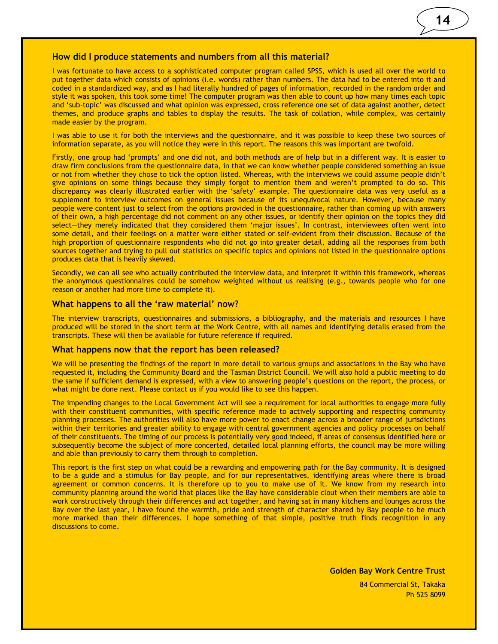#### How did I produce statements and numbers from all this material?

I was fortunate to have access to a sophisticated computer program called SPSS, which is used all over the world to put together data which consists of opinions (i.e. words) rather than numbers. The data had to be entered into it and coded in a standardized way, and as I had literally hundred of pages of information, recorded in the random order and style it was spoken, this took some time! The computer program was then able to count up how many times each topic and 'sub-topic' was discussed and what opinion was expressed, cross reference one set of data against another, detect themes, and produce graphs and tables to display the results. The task of collation, while complex, was certainly made easier by the program.

I was able to use it for both the interviews and the questionnaire, and it was possible to keep these two sources of information separate, as you will notice they were in this report. The reasons this was important are twofold.

Firstly, one group had 'prompts' and one did not, and both methods are of help but in a different way. It is easier to draw firm conclusions from the questionnaire data, in that we can know whether people considered something an issue or not from whether they chose to tick the option listed. Whereas, with the interviews we could assume people didn't give opinions on some things because they simply forgot to mention them and weren't prompted to do so. This discrepancy was clearly illustrated earlier with the 'safety' example. The questionnaire data was very useful as a supplement to interview outcomes on general issues because of its unequivocal nature. However, because many people were content just to select from the options provided in the questionnaire, rather than coming up with answers of their own, a high percentage did not comment on any other issues, or identify their opinion on the topics they did select—they merely indicated that they considered them 'major issues'. In contrast, interviewees often went into some detail, and their feelings on a matter were either stated or self-evident from their discussion. Because of the high proportion of questionnaire respondents who did not go into greater detail, adding all the responses from both sources together and trying to pull out statistics on specific topics and opinions not listed in the questionnaire options produces data that is heavily skewed.

Secondly, we can all see who actually contributed the interview data, and interpret it within this framework, whereas the anonymous questionnaires could be somehow weighted without us realising (e.g., towards people who for one reason or another had more time to complete it).

#### What happens to all the 'raw material' now?

The interview transcripts, questionnaires and submissions, a bibliography, and the materials and resources I have produced will be stored in the short term at the Work Centre, with all names and identifying details erased from the transcripts. These will then be available for future reference if required.

#### What happens now that the report has been released?

We will be presenting the findings of the report in more detail to various groups and associations in the Bay who have requested it, including the Community Board and the Tasman District Council. We will also hold a public meeting to do the same if sufficient demand is expressed, with a view to answering people's questions on the report, the process, or what might be done next. Please contact us if you would like to see this happen.

The impending changes to the Local Government Act will see a requirement for local authorities to engage more fully with their constituent communities, with specific reference made to actively supporting and respecting community planning processes. The authorities will also have more power to enact change across a broader range of jurisdictions within their territories and greater ability to engage with central government agencies and policy processes on behalf of their constituents. The timing of our process is potentially very good indeed, if areas of consensus identified here or subsequently become the subject of more concerted, detailed local planning efforts, the council may be more willing and able than previously to carry them through to completion.

This report is the first step on what could be a rewarding and empowering path for the Bay community. It is designed to be a guide and a stimulus for Bay people, and for our representatives, identifying areas where there is broad agreement or common concerns. It is therefore up to you to make use of it. We know from my research into community planning around the world that places like the Bay have considerable clout when their members are able to work constructively through their differences and act together, and having sat in many kitchens and lounges across the Bay over the last year, I have found the warmth, pride and strength of character shared by Bay people to be much more marked than their differences. I hope something of that simple, positive truth finds recognition in any discussions to come.

84 Commercial St, Takaka Ph 525 8099